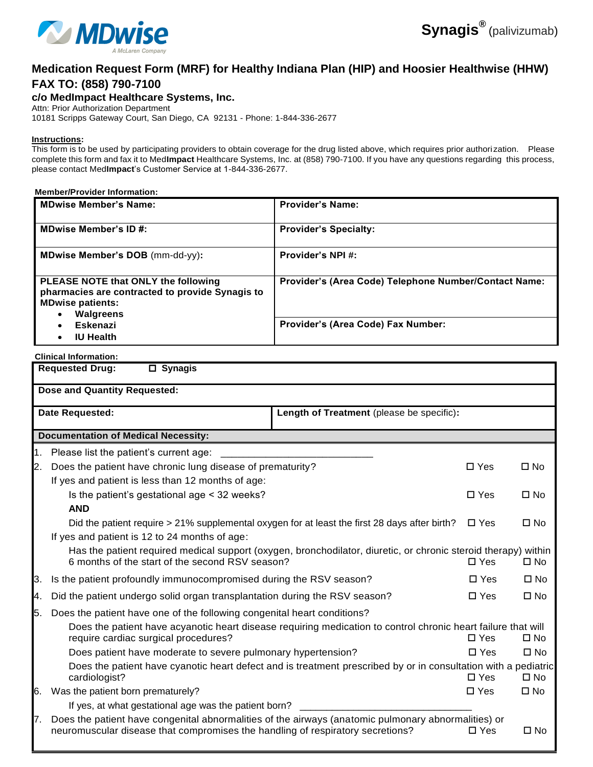

# **Medication Request Form (MRF) for Healthy Indiana Plan (HIP) and Hoosier Healthwise (HHW)**

## **FAX TO: (858) 790-7100**

**c/o MedImpact Healthcare Systems, Inc.**

Attn: Prior Authorization Department

10181 Scripps Gateway Court, San Diego, CA 92131 - Phone: 1-844-336-2677

#### **Instructions:**

This form is to be used by participating providers to obtain coverage for the drug listed above, which requires prior authori zation. Please complete this form and fax it to Med**Impact** Healthcare Systems, Inc. at (858) 790-7100. If you have any questions regarding this process, please contact Med**Impact**'s Customer Service at 1-844-336-2677.

#### **Member/Provider Information:**

| MDwise Member's Name:                                                                                                                       | <b>Provider's Name:</b>                               |
|---------------------------------------------------------------------------------------------------------------------------------------------|-------------------------------------------------------|
| <b>MDwise Member's ID #:</b>                                                                                                                | <b>Provider's Specialty:</b>                          |
| MDwise Member's DOB (mm-dd-yy):                                                                                                             | Provider's NPI#:                                      |
| PLEASE NOTE that ONLY the following<br>pharmacies are contracted to provide Synagis to<br><b>MDwise patients:</b><br>Walgreens<br>$\bullet$ | Provider's (Area Code) Telephone Number/Contact Name: |
| <b>Eskenazi</b><br>$\bullet$<br><b>IU Health</b>                                                                                            | Provider's (Area Code) Fax Number:                    |

### **Clinical Information:**

|                                     | <b>Requested Drug:</b><br>$\square$ Synagis                                                                                                                                           |  |               |              |  |  |  |  |
|-------------------------------------|---------------------------------------------------------------------------------------------------------------------------------------------------------------------------------------|--|---------------|--------------|--|--|--|--|
| <b>Dose and Quantity Requested:</b> |                                                                                                                                                                                       |  |               |              |  |  |  |  |
|                                     | Length of Treatment (please be specific):<br>Date Requested:                                                                                                                          |  |               |              |  |  |  |  |
|                                     | <b>Documentation of Medical Necessity:</b>                                                                                                                                            |  |               |              |  |  |  |  |
| 1.                                  | Please list the patient's current age:                                                                                                                                                |  |               |              |  |  |  |  |
| 2.                                  | Does the patient have chronic lung disease of prematurity?                                                                                                                            |  | $\square$ Yes | $\square$ No |  |  |  |  |
|                                     | If yes and patient is less than 12 months of age:                                                                                                                                     |  |               |              |  |  |  |  |
|                                     | Is the patient's gestational age < 32 weeks?                                                                                                                                          |  | $\Box$ Yes    | $\square$ No |  |  |  |  |
|                                     | <b>AND</b>                                                                                                                                                                            |  |               |              |  |  |  |  |
|                                     | Did the patient require > 21% supplemental oxygen for at least the first 28 days after birth?                                                                                         |  | $\Box$ Yes    | $\Box$ No    |  |  |  |  |
|                                     | If yes and patient is 12 to 24 months of age:                                                                                                                                         |  |               |              |  |  |  |  |
|                                     | Has the patient required medical support (oxygen, bronchodilator, diuretic, or chronic steroid therapy) within<br>6 months of the start of the second RSV season?                     |  | $\Box$ Yes    | $\square$ No |  |  |  |  |
| 3.                                  | Is the patient profoundly immunocompromised during the RSV season?                                                                                                                    |  | $\Box$ Yes    | $\square$ No |  |  |  |  |
| 4.                                  | Did the patient undergo solid organ transplantation during the RSV season?                                                                                                            |  | $\square$ Yes | $\square$ No |  |  |  |  |
| 5.                                  | Does the patient have one of the following congenital heart conditions?                                                                                                               |  |               |              |  |  |  |  |
|                                     | Does the patient have acyanotic heart disease requiring medication to control chronic heart failure that will<br>require cardiac surgical procedures?                                 |  | $\Box$ Yes    | $\square$ No |  |  |  |  |
|                                     | Does patient have moderate to severe pulmonary hypertension?                                                                                                                          |  | $\square$ Yes | $\Box$ No    |  |  |  |  |
|                                     | Does the patient have cyanotic heart defect and is treatment prescribed by or in consultation with a pediatric<br>cardiologist?                                                       |  | $\Box$ Yes    | $\square$ No |  |  |  |  |
| 6.                                  | Was the patient born prematurely?                                                                                                                                                     |  | $\square$ Yes | $\square$ No |  |  |  |  |
|                                     | If yes, at what gestational age was the patient born?                                                                                                                                 |  |               |              |  |  |  |  |
| 7.                                  | Does the patient have congenital abnormalities of the airways (anatomic pulmonary abnormalities) or<br>neuromuscular disease that compromises the handling of respiratory secretions? |  | $\Box$ Yes    | $\square$ No |  |  |  |  |